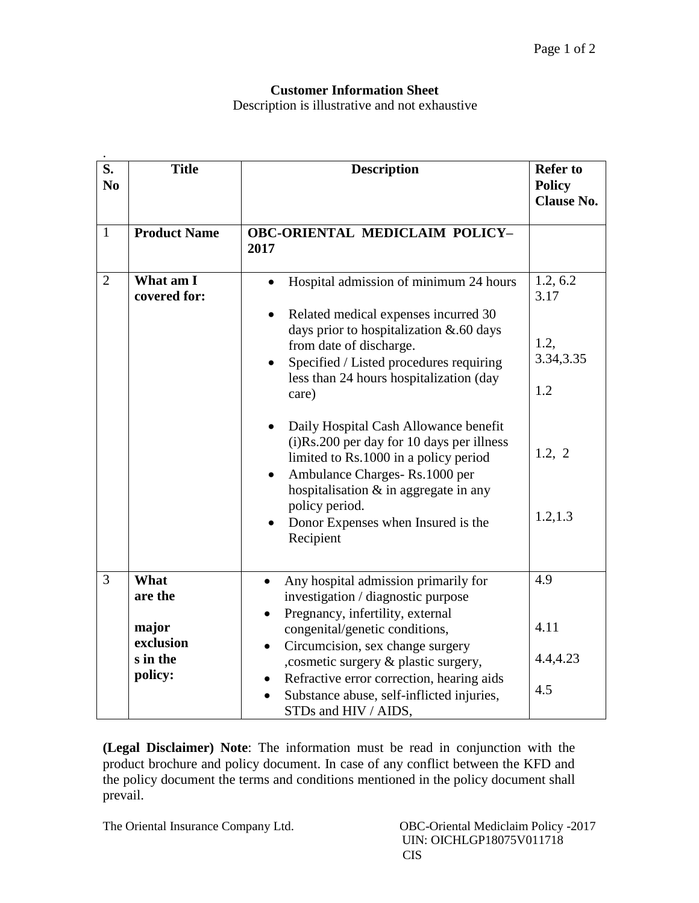## **Customer Information Sheet**

Description is illustrative and not exhaustive

| $\overline{\mathbf{S}}$ .<br>N <sub>0</sub> | <b>Title</b>                                                 | <b>Description</b>                                                                                                                                                                                                                                                                                                                                                                                                                                                                                                                    | <b>Refer to</b><br><b>Policy</b><br><b>Clause No.</b>               |
|---------------------------------------------|--------------------------------------------------------------|---------------------------------------------------------------------------------------------------------------------------------------------------------------------------------------------------------------------------------------------------------------------------------------------------------------------------------------------------------------------------------------------------------------------------------------------------------------------------------------------------------------------------------------|---------------------------------------------------------------------|
| $\mathbf{1}$                                | <b>Product Name</b>                                          | <b>OBC-ORIENTAL MEDICLAIM POLICY-</b><br>2017                                                                                                                                                                                                                                                                                                                                                                                                                                                                                         |                                                                     |
| $\overline{2}$                              | What am I<br>covered for:                                    | Hospital admission of minimum 24 hours<br>Related medical expenses incurred 30<br>days prior to hospitalization & .60 days<br>from date of discharge.<br>Specified / Listed procedures requiring<br>less than 24 hours hospitalization (day<br>care)<br>Daily Hospital Cash Allowance benefit<br>(i)Rs.200 per day for 10 days per illness<br>limited to Rs.1000 in a policy period<br>Ambulance Charges-Rs.1000 per<br>hospitalisation $\&$ in aggregate in any<br>policy period.<br>Donor Expenses when Insured is the<br>Recipient | 1.2, 6.2<br>3.17<br>1.2,<br>3.34, 3.35<br>1.2<br>1.2, 2<br>1.2, 1.3 |
| 3                                           | What<br>are the<br>major<br>exclusion<br>s in the<br>policy: | Any hospital admission primarily for<br>$\bullet$<br>investigation / diagnostic purpose<br>Pregnancy, infertility, external<br>congenital/genetic conditions,<br>Circumcision, sex change surgery<br>$\bullet$<br>, cosmetic surgery & plastic surgery,<br>Refractive error correction, hearing aids<br>$\bullet$<br>Substance abuse, self-inflicted injuries,<br>STDs and HIV / AIDS,                                                                                                                                                | 4.9<br>4.11<br>4.4,4.23<br>4.5                                      |

**(Legal Disclaimer) Note**: The information must be read in conjunction with the product brochure and policy document. In case of any conflict between the KFD and the policy document the terms and conditions mentioned in the policy document shall prevail.

The Oriental Insurance Company Ltd. OBC-Oriental Mediclaim Policy -2017

 UIN: OICHLGP18075V011718 CIS